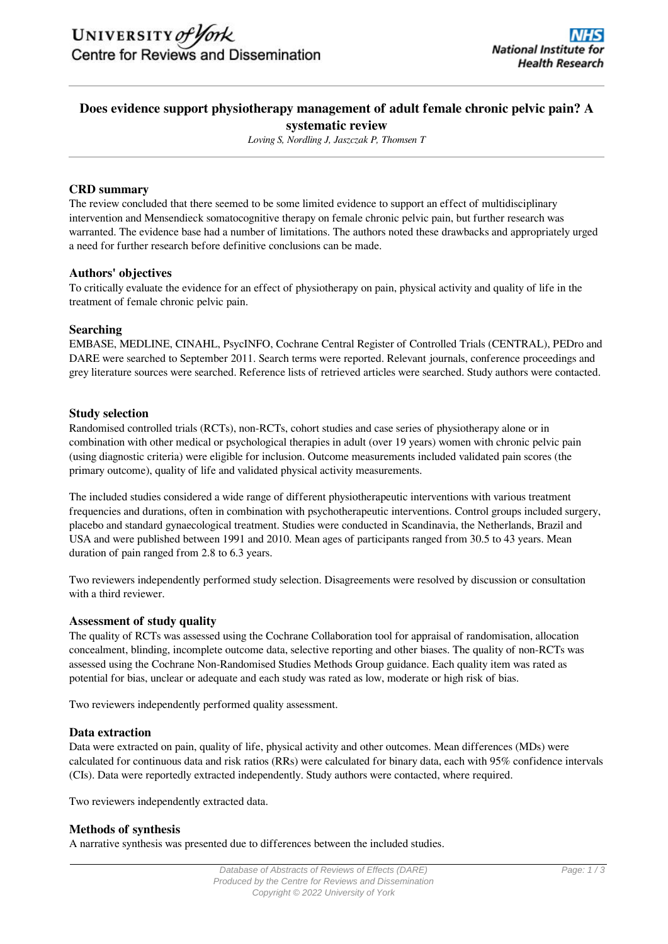# **Does evidence support physiotherapy management of adult female chronic pelvic pain? A systematic review**

*Loving S, Nordling J, Jaszczak P, Thomsen T*

## **CRD summary**

The review concluded that there seemed to be some limited evidence to support an effect of multidisciplinary intervention and Mensendieck somatocognitive therapy on female chronic pelvic pain, but further research was warranted. The evidence base had a number of limitations. The authors noted these drawbacks and appropriately urged a need for further research before definitive conclusions can be made.

## **Authors' objectives**

To critically evaluate the evidence for an effect of physiotherapy on pain, physical activity and quality of life in the treatment of female chronic pelvic pain.

## **Searching**

EMBASE, MEDLINE, CINAHL, PsycINFO, Cochrane Central Register of Controlled Trials (CENTRAL), PEDro and DARE were searched to September 2011. Search terms were reported. Relevant journals, conference proceedings and grey literature sources were searched. Reference lists of retrieved articles were searched. Study authors were contacted.

## **Study selection**

Randomised controlled trials (RCTs), non-RCTs, cohort studies and case series of physiotherapy alone or in combination with other medical or psychological therapies in adult (over 19 years) women with chronic pelvic pain (using diagnostic criteria) were eligible for inclusion. Outcome measurements included validated pain scores (the primary outcome), quality of life and validated physical activity measurements.

The included studies considered a wide range of different physiotherapeutic interventions with various treatment frequencies and durations, often in combination with psychotherapeutic interventions. Control groups included surgery, placebo and standard gynaecological treatment. Studies were conducted in Scandinavia, the Netherlands, Brazil and USA and were published between 1991 and 2010. Mean ages of participants ranged from 30.5 to 43 years. Mean duration of pain ranged from 2.8 to 6.3 years.

Two reviewers independently performed study selection. Disagreements were resolved by discussion or consultation with a third reviewer.

## **Assessment of study quality**

The quality of RCTs was assessed using the Cochrane Collaboration tool for appraisal of randomisation, allocation concealment, blinding, incomplete outcome data, selective reporting and other biases. The quality of non-RCTs was assessed using the Cochrane Non-Randomised Studies Methods Group guidance. Each quality item was rated as potential for bias, unclear or adequate and each study was rated as low, moderate or high risk of bias.

Two reviewers independently performed quality assessment.

## **Data extraction**

Data were extracted on pain, quality of life, physical activity and other outcomes. Mean differences (MDs) were calculated for continuous data and risk ratios (RRs) were calculated for binary data, each with 95% confidence intervals (CIs). Data were reportedly extracted independently. Study authors were contacted, where required.

Two reviewers independently extracted data.

#### **Methods of synthesis**

A narrative synthesis was presented due to differences between the included studies.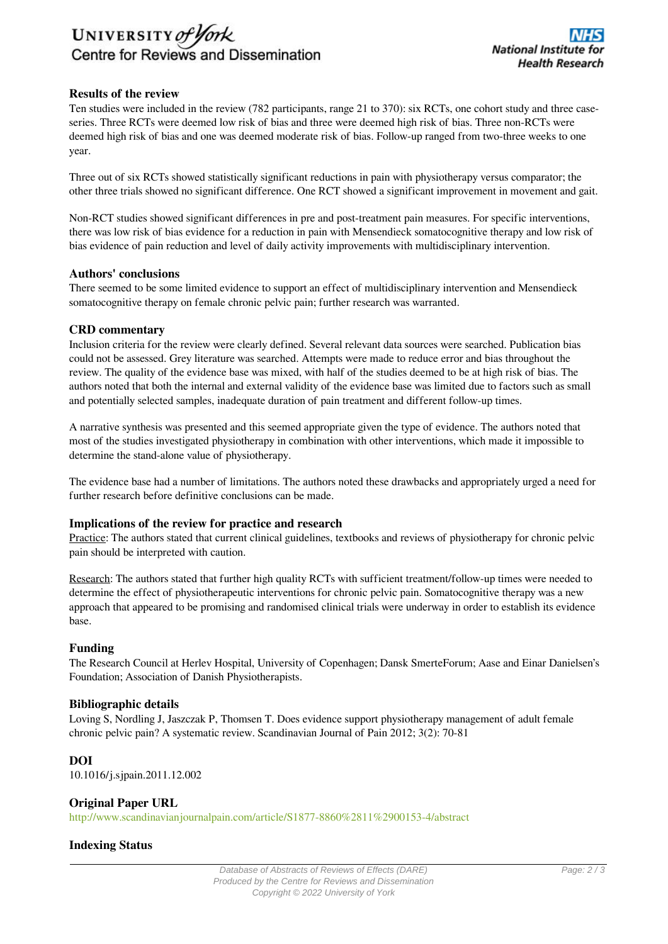# UNIVERSITY of York Centre for Reviews and Dissemination

# **Results of the review**

Ten studies were included in the review (782 participants, range 21 to 370): six RCTs, one cohort study and three caseseries. Three RCTs were deemed low risk of bias and three were deemed high risk of bias. Three non-RCTs were deemed high risk of bias and one was deemed moderate risk of bias. Follow-up ranged from two-three weeks to one year.

Three out of six RCTs showed statistically significant reductions in pain with physiotherapy versus comparator; the other three trials showed no significant difference. One RCT showed a significant improvement in movement and gait.

Non-RCT studies showed significant differences in pre and post-treatment pain measures. For specific interventions, there was low risk of bias evidence for a reduction in pain with Mensendieck somatocognitive therapy and low risk of bias evidence of pain reduction and level of daily activity improvements with multidisciplinary intervention.

## **Authors' conclusions**

There seemed to be some limited evidence to support an effect of multidisciplinary intervention and Mensendieck somatocognitive therapy on female chronic pelvic pain; further research was warranted.

#### **CRD commentary**

Inclusion criteria for the review were clearly defined. Several relevant data sources were searched. Publication bias could not be assessed. Grey literature was searched. Attempts were made to reduce error and bias throughout the review. The quality of the evidence base was mixed, with half of the studies deemed to be at high risk of bias. The authors noted that both the internal and external validity of the evidence base was limited due to factors such as small and potentially selected samples, inadequate duration of pain treatment and different follow-up times.

A narrative synthesis was presented and this seemed appropriate given the type of evidence. The authors noted that most of the studies investigated physiotherapy in combination with other interventions, which made it impossible to determine the stand-alone value of physiotherapy.

The evidence base had a number of limitations. The authors noted these drawbacks and appropriately urged a need for further research before definitive conclusions can be made.

# **Implications of the review for practice and research**

Practice: The authors stated that current clinical guidelines, textbooks and reviews of physiotherapy for chronic pelvic pain should be interpreted with caution.

Research: The authors stated that further high quality RCTs with sufficient treatment/follow-up times were needed to determine the effect of physiotherapeutic interventions for chronic pelvic pain. Somatocognitive therapy was a new approach that appeared to be promising and randomised clinical trials were underway in order to establish its evidence base.

#### **Funding**

The Research Council at Herlev Hospital, University of Copenhagen; Dansk SmerteForum; Aase and Einar Danielsen's Foundation; Association of Danish Physiotherapists.

#### **Bibliographic details**

Loving S, Nordling J, Jaszczak P, Thomsen T. Does evidence support physiotherapy management of adult female chronic pelvic pain? A systematic review. Scandinavian Journal of Pain 2012; 3(2): 70-81

## **DOI**

10.1016/j.sjpain.2011.12.002

## **Original Paper URL**

<http://www.scandinavianjournalpain.com/article/S1877-8860%2811%2900153-4/abstract>

## **Indexing Status**